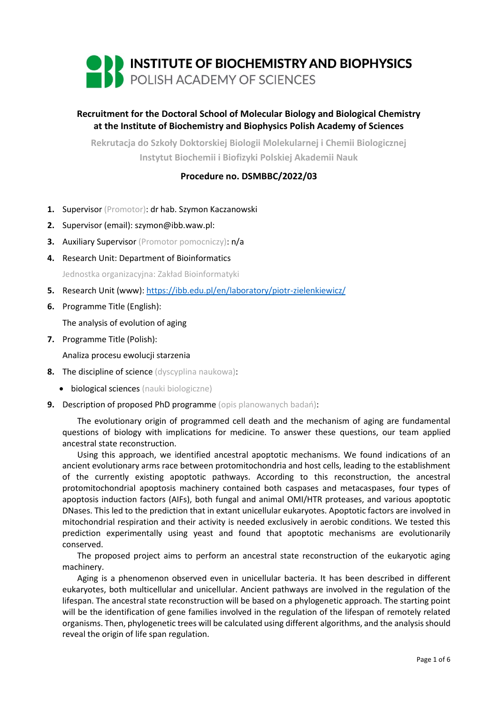

# **Recruitment for the Doctoral School of Molecular Biology and Biological Chemistry at the Institute of Biochemistry and Biophysics Polish Academy of Sciences**

**Rekrutacja do Szkoły Doktorskiej Biologii Molekularnej i Chemii Biologicznej Instytut Biochemii i Biofizyki Polskiej Akademii Nauk**

# **Procedure no. DSMBBC/2022/03**

- **1.** Supervisor (Promotor): dr hab. Szymon Kaczanowski
- **2.** Supervisor (email): szymon@ibb.waw.pl:
- **3.** Auxiliary Supervisor (Promotor pomocniczy): n/a
- **4.** Research Unit: Department of Bioinformatics Jednostka organizacyjna: Zakład Bioinformatyki
- **5.** Research Unit (www): <https://ibb.edu.pl/en/laboratory/piotr-zielenkiewicz/>
- **6.** Programme Title (English):

The analysis of evolution of aging

**7.** Programme Title (Polish):

Analiza procesu ewolucji starzenia

- **8.** The discipline of science (dyscyplina naukowa):
	- **•** biological sciences (nauki biologiczne)
- **9.** Description of proposed PhD programme (opis planowanych badań):

The evolutionary origin of programmed cell death and the mechanism of aging are fundamental questions of biology with implications for medicine. To answer these questions, our team applied ancestral state reconstruction.

Using this approach, we identified ancestral apoptotic mechanisms. We found indications of an ancient evolutionary arms race between protomitochondria and host cells, leading to the establishment of the currently existing apoptotic pathways. According to this reconstruction, the ancestral protomitochondrial apoptosis machinery contained both caspases and metacaspases, four types of apoptosis induction factors (AIFs), both fungal and animal OMI/HTR proteases, and various apoptotic DNases. This led to the prediction that in extant unicellular eukaryotes. Apoptotic factors are involved in mitochondrial respiration and their activity is needed exclusively in aerobic conditions. We tested this prediction experimentally using yeast and found that apoptotic mechanisms are evolutionarily conserved.

The proposed project aims to perform an ancestral state reconstruction of the eukaryotic aging machinery.

Aging is a phenomenon observed even in unicellular bacteria. It has been described in different eukaryotes, both multicellular and unicellular. Ancient pathways are involved in the regulation of the lifespan. The ancestral state reconstruction will be based on a phylogenetic approach. The starting point will be the identification of gene families involved in the regulation of the lifespan of remotely related organisms. Then, phylogenetic trees will be calculated using different algorithms, and the analysis should reveal the origin of life span regulation.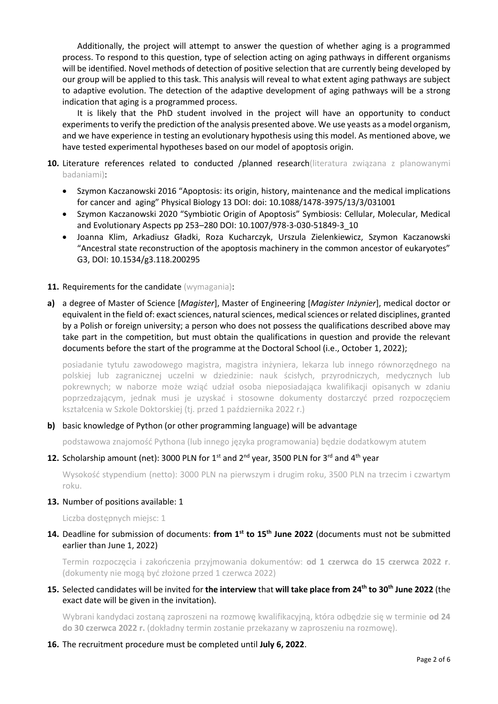Additionally, the project will attempt to answer the question of whether aging is a programmed process. To respond to this question, type of selection acting on aging pathways in different organisms will be identified. Novel methods of detection of positive selection that are currently being developed by our group will be applied to this task. This analysis will reveal to what extent aging pathways are subject to adaptive evolution. The detection of the adaptive development of aging pathways will be a strong indication that aging is a programmed process.

It is likely that the PhD student involved in the project will have an opportunity to conduct experiments to verify the prediction of the analysis presented above. We use yeasts as a model organism, and we have experience in testing an evolutionary hypothesis using this model. As mentioned above, we have tested experimental hypotheses based on our model of apoptosis origin.

- 10. Literature references related to conducted /planned research(literatura związana z planowanymi badaniami):
	- Szymon Kaczanowski 2016 "Apoptosis: its origin, history, maintenance and the medical implications for cancer and aging" Physical Biology 13 DOI: doi: 10.1088/1478-3975/13/3/031001
	- Szymon Kaczanowski 2020 "Symbiotic Origin of Apoptosis" Symbiosis: Cellular, Molecular, Medical and Evolutionary Aspects pp 253–280 DOI: 10.1007/978-3-030-51849-3\_10
	- Joanna Klim, Arkadiusz Gładki, Roza Kucharczyk, Urszula Zielenkiewicz, Szymon Kaczanowski "Ancestral state reconstruction of the apoptosis machinery in the common ancestor of eukaryotes" G3, DOI: 10.1534/g3.118.200295
- 11. Requirements for the candidate (wymagania):
- **a)** a degree of Master of Science [*Magister*], Master of Engineering [*Magister Inżynier*], medical doctor or equivalent in the field of: exact sciences, natural sciences, medical sciences or related disciplines, granted by a Polish or foreign university; a person who does not possess the qualifications described above may take part in the competition, but must obtain the qualifications in question and provide the relevant documents before the start of the programme at the Doctoral School (i.e., October 1, 2022);

posiadanie tytułu zawodowego magistra, magistra inżyniera, lekarza lub innego równorzędnego na polskiej lub zagranicznej uczelni w dziedzinie: nauk ścisłych, przyrodniczych, medycznych lub pokrewnych; w naborze może wziąć udział osoba nieposiadająca kwalifikacji opisanych w zdaniu poprzedzającym, jednak musi je uzyskać i stosowne dokumenty dostarczyć przed rozpoczęciem kształcenia w Szkole Doktorskiej (tj. przed 1 października 2022 r.)

### **b)** basic knowledge of Python (or other programming language) will be advantage

podstawowa znajomość Pythona (lub innego języka programowania) będzie dodatkowym atutem

## 12. Scholarship amount (net): 3000 PLN for 1<sup>st</sup> and 2<sup>nd</sup> year, 3500 PLN for 3<sup>rd</sup> and 4<sup>th</sup> year

Wysokość stypendium (netto): 3000 PLN na pierwszym i drugim roku, 3500 PLN na trzecim i czwartym roku.

#### **13.** Number of positions available: 1

Liczba dostępnych miejsc: 1

### **14.** Deadline for submission of documents: **from 1st to 15th June 2022** (documents must not be submitted earlier than June 1, 2022)

Termin rozpoczęcia i zakończenia przyjmowania dokumentów: **od 1 czerwca do 15 czerwca 2022 r**. (dokumenty nie mogą być złożone przed 1 czerwca 2022)

### **15.** Selected candidates will be invited for **the interview** that **will take place from 24th to 30th June 2022** (the exact date will be given in the invitation).

Wybrani kandydaci zostaną zaproszeni na rozmowę kwalifikacyjną, która odbędzie się w terminie **od 24 do 30 czerwca 2022 r.** (dokładny termin zostanie przekazany w zaproszeniu na rozmowę).

#### **16.** The recruitment procedure must be completed until **July 6, 2022**.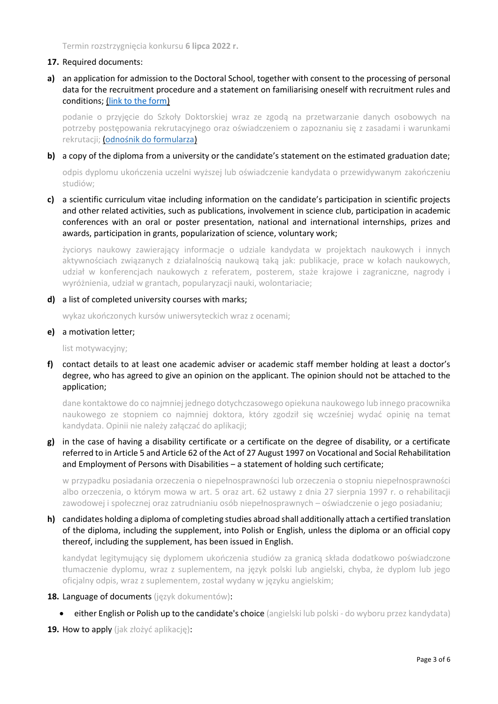Termin rozstrzygnięcia konkursu **6 lipca 2022 r.**

#### **17.** Required documents:

**a)** an application for admission to the Doctoral School, together with consent to the processing of personal data for the recruitment procedure and a statement on familiarising oneself with recruitment rules and conditions; [\(link to the form\)](https://ibb.edu.pl/app/uploads/2022/05/application-form_doctoralschool_ibb-pas.docx)

podanie o przyjęcie do Szkoły Doktorskiej wraz ze zgodą na przetwarzanie danych osobowych na potrzeby postępowania rekrutacyjnego oraz oświadczeniem o zapoznaniu się z zasadami i warunkami rekrutacji; ([odnośnik do formularza](https://ibb.edu.pl/app/uploads/2022/05/application-form_doctoralschool_ibb-pas.docx))

**b)** a copy of the diploma from a university or the candidate's statement on the estimated graduation date;

odpis dyplomu ukończenia uczelni wyższej lub oświadczenie kandydata o przewidywanym zakończeniu studiów;

**c)** a scientific curriculum vitae including information on the candidate's participation in scientific projects and other related activities, such as publications, involvement in science club, participation in academic conferences with an oral or poster presentation, national and international internships, prizes and awards, participation in grants, popularization of science, voluntary work;

życiorys naukowy zawierający informacje o udziale kandydata w projektach naukowych i innych aktywnościach związanych z działalnością naukową taką jak: publikacje, prace w kołach naukowych, udział w konferencjach naukowych z referatem, posterem, staże krajowe i zagraniczne, nagrody i wyróżnienia, udział w grantach, popularyzacji nauki, wolontariacie;

**d)** a list of completed university courses with marks;

wykaz ukończonych kursów uniwersyteckich wraz z ocenami;

**e)** a motivation letter;

list motywacyjny;

**f)** contact details to at least one academic adviser or academic staff member holding at least a doctor's degree, who has agreed to give an opinion on the applicant. The opinion should not be attached to the application;

dane kontaktowe do co najmniej jednego dotychczasowego opiekuna naukowego lub innego pracownika naukowego ze stopniem co najmniej doktora, który zgodził się wcześniej wydać opinię na temat kandydata. Opinii nie należy załączać do aplikacji;

**g)** in the case of having a disability certificate or a certificate on the degree of disability, or a certificate referred to in Article 5 and Article 62 of the Act of 27 August 1997 on Vocational and Social Rehabilitation and Employment of Persons with Disabilities – a statement of holding such certificate;

w przypadku posiadania orzeczenia o niepełnosprawności lub orzeczenia o stopniu niepełnosprawności albo orzeczenia, o którym mowa w art. 5 oraz art. 62 ustawy z dnia 27 sierpnia 1997 r. o rehabilitacji zawodowej i społecznej oraz zatrudnianiu osób niepełnosprawnych – oświadczenie o jego posiadaniu;

## **h)** candidates holding a diploma of completing studies abroad shall additionally attach a certified translation of the diploma, including the supplement, into Polish or English, unless the diploma or an official copy thereof, including the supplement, has been issued in English.

kandydat legitymujący się dyplomem ukończenia studiów za granicą składa dodatkowo poświadczone tłumaczenie dyplomu, wraz z suplementem, na język polski lub angielski, chyba, że dyplom lub jego oficjalny odpis, wraz z suplementem, został wydany w języku angielskim;

### **18.** Language of documents (język dokumentów):

- **either English or Polish up to the candidate's choice** (angielski lub polski do wyboru przez kandydata)
- **19.** How to apply (jak złożyć aplikację):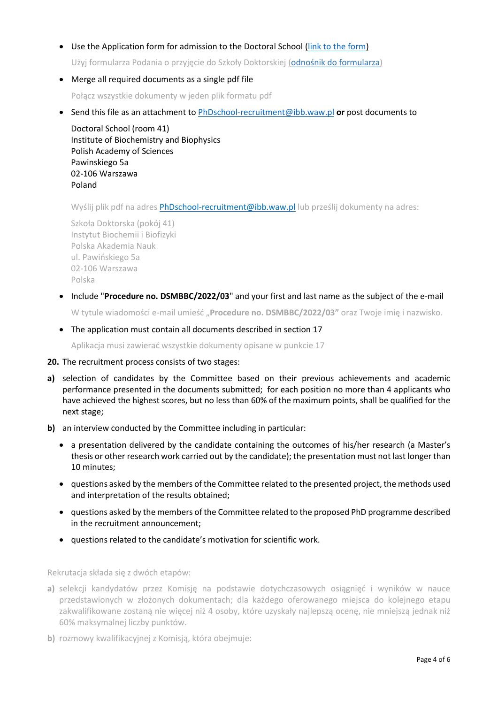### Use the Application form for admission to the Doctoral School [\(link to the form\)](https://ibb.edu.pl/app/uploads/2022/05/application-form_doctoralschool_ibb-pas.docx)

Użyj formularza Podania o przyjęcie do Szkoły Doktorskiej ([odnośnik do formularza](https://ibb.edu.pl/app/uploads/2022/05/application-form_doctoralschool_ibb-pas.docx))

Merge all required documents as a single pdf file

Połącz wszystkie dokumenty w jeden plik formatu pdf

Send this file as an attachment to [PhDschool-recruitment@ibb.waw.pl](mailto:PhDschool-recruitment@ibb.waw.pl) **or** post documents to

Doctoral School (room 41) Institute of Biochemistry and Biophysics Polish Academy of Sciences Pawinskiego 5a 02-106 Warszawa Poland

Wyślij plik pdf na adres [PhDschool-recruitment@ibb.waw.pl](mailto:PhDschool-recruitment@ibb.waw.pl) lub prześlij dokumenty na adres:

Szkoła Doktorska (pokój 41) Instytut Biochemii i Biofizyki Polska Akademia Nauk ul. Pawińskiego 5a 02-106 Warszawa Polska

- Include "**Procedure no. DSMBBC/2022/03**" and your first and last name as the subject of the e-mail W tytule wiadomości e-mail umieść "**Procedure no. DSMBBC/2022/03"** oraz Twoje imię i nazwisko.
- The application must contain all documents described in section 17

Aplikacja musi zawierać wszystkie dokumenty opisane w punkcie 17

#### **20.** The recruitment process consists of two stages:

- **a)** selection of candidates by the Committee based on their previous achievements and academic performance presented in the documents submitted; for each position no more than 4 applicants who have achieved the highest scores, but no less than 60% of the maximum points, shall be qualified for the next stage;
- **b)** an interview conducted by the Committee including in particular:
	- a presentation delivered by the candidate containing the outcomes of his/her research (a Master's thesis or other research work carried out by the candidate); the presentation must not last longer than 10 minutes;
	- questions asked by the members of the Committee related to the presented project, the methods used and interpretation of the results obtained;
	- questions asked by the members of the Committee related to the proposed PhD programme described in the recruitment announcement;
	- questions related to the candidate's motivation for scientific work.

Rekrutacja składa się z dwóch etapów:

- **a)** selekcji kandydatów przez Komisję na podstawie dotychczasowych osiągnięć i wyników w nauce przedstawionych w złożonych dokumentach; dla każdego oferowanego miejsca do kolejnego etapu zakwalifikowane zostaną nie więcej niż 4 osoby, które uzyskały najlepszą ocenę, nie mniejszą jednak niż 60% maksymalnej liczby punktów.
- **b)** rozmowy kwalifikacyjnej z Komisią, która obejmuje: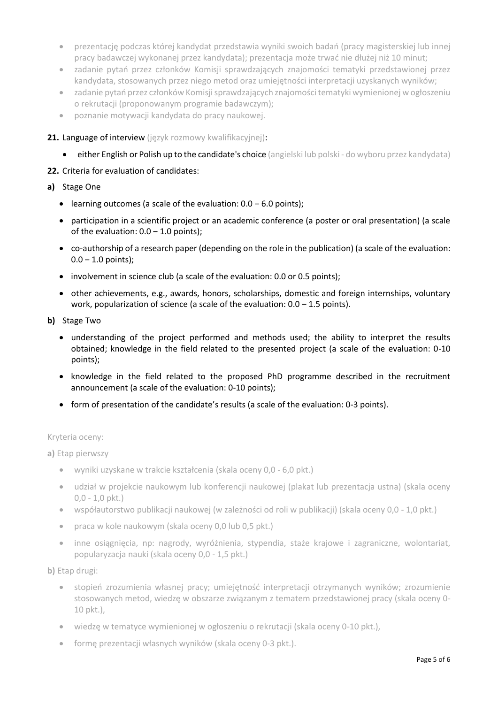- prezentację podczas której kandydat przedstawia wyniki swoich badań (pracy magisterskiej lub innej pracy badawczej wykonanej przez kandydata); prezentacja może trwać nie dłużej niż 10 minut;
- zadanie pytań przez członków Komisji sprawdzających znajomości tematyki przedstawionej przez kandydata, stosowanych przez niego metod oraz umiejętności interpretacji uzyskanych wyników;
- zadanie pytań przez członków Komisji sprawdzających znajomości tematyki wymienionej w ogłoszeniu o rekrutacji (proponowanym programie badawczym);
- poznanie motywacji kandydata do pracy naukowej.
- 21. Language of interview (język rozmowy kwalifikacyjnej):
	- **either English or Polish up to the candidate's choice** (angielski lub polski do wyboru przez kandydata)

# **22.** Criteria for evaluation of candidates:

# **a)** Stage One

- learning outcomes (a scale of the evaluation:  $0.0 6.0$  points);
- participation in a scientific project or an academic conference (a poster or oral presentation) (a scale of the evaluation:  $0.0 - 1.0$  points);
- co-authorship of a research paper (depending on the role in the publication) (a scale of the evaluation:  $0.0 - 1.0$  points);
- involvement in science club (a scale of the evaluation: 0.0 or 0.5 points);
- other achievements, e.g., awards, honors, scholarships, domestic and foreign internships, voluntary work, popularization of science (a scale of the evaluation:  $0.0 - 1.5$  points).
- **b)** Stage Two
	- understanding of the project performed and methods used; the ability to interpret the results obtained; knowledge in the field related to the presented project (a scale of the evaluation: 0-10 points);
	- knowledge in the field related to the proposed PhD programme described in the recruitment announcement (a scale of the evaluation: 0-10 points);
	- form of presentation of the candidate's results (a scale of the evaluation: 0-3 points).

# Kryteria oceny:

**a)** Etap pierwszy

- wyniki uzyskane w trakcie kształcenia (skala oceny 0,0 6,0 pkt.)
- udział w projekcie naukowym lub konferencji naukowej (plakat lub prezentacja ustna) (skala oceny 0,0 - 1,0 pkt.)
- współautorstwo publikacji naukowej (w zależności od roli w publikacji) (skala oceny 0,0 1,0 pkt.)
- praca w kole naukowym (skala oceny 0,0 lub 0,5 pkt.)
- inne osiągnięcia, np: nagrody, wyróżnienia, stypendia, staże krajowe i zagraniczne, wolontariat, popularyzacja nauki (skala oceny 0,0 - 1,5 pkt.)

**b)** Etap drugi:

- stopień zrozumienia własnej pracy; umiejętność interpretacji otrzymanych wyników; zrozumienie stosowanych metod, wiedzę w obszarze związanym z tematem przedstawionej pracy (skala oceny 0- 10 pkt.),
- wiedzę w tematyce wymienionej w ogłoszeniu o rekrutacji (skala oceny 0-10 pkt.),
- formę prezentacji własnych wyników (skala oceny 0-3 pkt.).